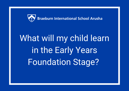

# What will my child learn in the Early Years Foundation Stage?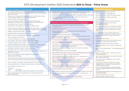# EYFS Development Matters 2020 Statements **Birth to Three - Prime Areas**

| Communication and Language                                                                                                                                                                              | Communication and Language                                                                                                                                                                                                      | <b>Physical Development</b>                                                                                                                                |
|---------------------------------------------------------------------------------------------------------------------------------------------------------------------------------------------------------|---------------------------------------------------------------------------------------------------------------------------------------------------------------------------------------------------------------------------------|------------------------------------------------------------------------------------------------------------------------------------------------------------|
| • Turn towards familiar sounds. They are also startled by loud noises and<br>accuratelylocate the source of a familiar person's voice, such as their key<br>person or a parent.                         | Identify familiar objects and properties for practitioners when they are<br>described. For example: 'Katie's coat', 'blue car', 'shiny apple'.<br>• Understand and act on longer sentences like 'make teddy jump' or 'find your | • Lift their head while lying on their front.<br>• Push their chest up with straight arms.<br>Roll over: from front to back, then back to front.           |
| Gaze at faces, copying facial expressions and movements like sticking<br>out their tongue. Make eye contact for longer periods.<br>• Watch someone's face as they talk.                                 | Understand simple questions about 'who', 'what' and 'where' (but<br>generally not 'why').                                                                                                                                       | Enjoy moving when outdoors and inside.<br>Sit without support.                                                                                             |
| • Copy what adults do, taking 'turns' in conversations (through<br>babbling) and activities. Try to copy adult speech and lip movements.                                                                | Personal, Social and Emotional Development                                                                                                                                                                                      | Begin to crawl in different ways and directions.<br>Pull themselves upright and bouncing in                                                                |
| • Enjoy singing, music and toys that make sounds.<br>· Recognise and are calmed by a familiar and friendly voice.                                                                                       | Find ways to calm themselves, through being calmed and comforted<br>by theirkey person.                                                                                                                                         | preparation for walking.<br>Reach out for objects as co-ordination develops.<br>Pass things from one hand to the other. Let go of                          |
| • Make sounds to get attention in different ways (for example, crying when<br>hungry or unhappy, making gurgling sounds, laughing, cooing or babbling)<br>· Babble, using sounds like 'baba', 'mamama'. | Establish their sense of self.<br>Express preferences and decisions. They also try new things and                                                                                                                               | things and hand them to another person or drop<br>them.                                                                                                    |
| . Use gestures like waving and pointing to communicate.<br>• Reach or point to something they want while making sounds.                                                                                 | startestablishing their autonomy.<br>Engage with others through gestures, gaze and talk.<br>Use that engagement to achieve a goal. For example, gesture towards                                                                 | Gradually gain control of their whole body<br>through continual practice of large movements,<br>such as waving, kicking, rolling, crawling and<br>walkina. |
| • Copy your gestures and words.<br>• Constantly babble and use single words during play.<br>• Use intonation, pitch and changing volume when 'talking'.                                                 | their cup tosay they want a drink.<br>Find ways of managing transitions, eg from their parent to their key person.                                                                                                              | Clap and stamp to music.<br>Fit themselves into spaces, like tunnels, dens and                                                                             |
| • Understand single words in context - 'cup', 'milk', 'daddy'.<br>• Understand frequently used words such as 'all gone', 'no' and 'bye-bye'.                                                            | • Thrive as they develop self-assurance.<br>Look back as they crawl or walk away from their key person. Look for clues                                                                                                          | largeboxes, and move around in them.<br>Enjoy starting to kick, throw and catch balls.<br>Build independently with a range of appropriate                  |
| • Understand simple instructions like "give to nanny" or "stop".<br>• Recognise and point to objects if asked about them.                                                                               | about how to respond to something interesting.<br>Play with increasing confidence on their own and with other children,<br>because they                                                                                         | resources.<br>Begin to walk independently - choosing appropriate<br>props                                                                                  |
| Generally, focus on an activity of their own choice and find it difficult to be<br>directed by an adult.                                                                                                | know their key person is nearby and available.<br>• Feel confident when taken out around the local neighbourhood, and enjoy                                                                                                     | to support at first.<br>Walk, run, jump and climb – and start to use the<br>stairs independently.                                                          |
| Listen to other people's talk with interest but can easily be<br>distracted by other things.                                                                                                            | Feel strong enough to express a range of emotions.<br>Grow in independence, rejecting help ("me do it"). Sometimes this<br>leads tofeelings of frustration and tantrums.                                                        | Spin, roll and independently use ropes and swings<br>(forexample, tyre swings).                                                                            |
| . Make themselves understood and can become frustrated when they<br>cannot. Start to say how they are feeling, using words as well as actions.                                                          | Begin to show 'effortful control'. For example, waiting for a turn and<br>resisting the strong impulse to grab what they want or push their way to                                                                              | Sit on a push-along wheeled toy, use a scooter<br>or ride a tricycle.                                                                                      |
| · Start to develop conversation, often jumping from topic to topic.<br>• Develop pretend play: 'putting the baby to sleep' or 'driving the car'.                                                        | the front. Be increasingly able to talk about and manage their emotions.<br>Notice and ask questions about differences, such as skin colour, types                                                                              | Use large and small motor skills to do things<br>independently, for example manage buttons<br>and zips, and pour drinks.                                   |
| • Use the speech sounds p, b, m, w.<br>· Pronounce:<br>- s/sh/ch/dz/i<br>$-1/r/w/y$                                                                                                                     | of hair, gender, special needs and disabilities, and so on.<br>Develop friendships with other children.                                                                                                                         | Show an increasing desire to be independent,<br>such aswanting to feed themselves and dress or<br>undress.                                                 |
| - multi-syllabic words such as 'banana' and 'computer'<br>$-f$ /th<br>Listen to simple stories and understand what is happening, with the<br>help of the pictures.                                      | Safely explore emotions beyond their normal range through play and stories.<br>· Talk about their feelings in more elaborated ways: "I'm sad because" or                                                                        | Start eating independently and learning how to<br>use aknife and fork.                                                                                     |
|                                                                                                                                                                                                         | "I love itwhen ".<br>. Learn to use the toilet with help, and then independently.                                                                                                                                               | Develop manipulation and control.<br>Explore different materials and tools.                                                                                |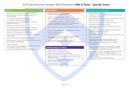# EYFS Development Matters 2020 Statements **Birth to Three - Specific Areas**

# **Literacy**

- Enjoy songs and rhymes, tuning in and paying attention.
- Join in with songs and rhymes, copying sounds, rhythms, tunesand tempo.
- Say some of the words in songs and rhymes.
- Copy finger movements and other gestures.
- Sing songs and say rhymes independently, for example, singingwhilst playing.
- Enjoy sharing books with an adult.
- Pay attention and respond to the pictures or the words.
- Have favourite books and seek them out, to share with an adult, withanother child, or to look at alone.
- Repeat words and phrases from familiar stories.
- Ask questions about the book. Makes comments and shares theirown ideas.
- Develop play around favourite stories using props.
- Notice some print, such as the first letter of their name, a bus or door. number, or a familiar logo.
- Enjoy drawing freely.
- Add some marks to their drawings, which they give meaning to. Forexample: "That says mummy."
- Make marks on their picture to stand for their name.

# **Mathematics**

- Combine objects like stacking blocks and cups. Put objects insideothers and take them out again.
- Take part in finger rhymes with numbers.
- React to changes of amount in a group of up to three items.
- Compare amounts, saying 'lots', 'more' or 'same'.
- Develop counting-like behaviour, such as making sounds, pointing or saying some numbers in sequence.
- Count in everyday contexts, sometimes skipping numbers '1-2-3- 5.'
- Climb and squeeze themselves into different types of spaces.
- Build with a range of resources.
- Complete inset puzzles.
- Compare sizes, weights etc. using gesture and language 'bigger/little/smaller', 'high/low', 'tall', 'heavy'.
- Notice patterns and arrange things in patterns.

# **Understanding the World**

- Repeat actions that have an effect.
- Explore materials with different properties.
- Explore natural materials, indoors and outside.
- Explore and respond to different natural phenomena in their settingand on trips.
- Make connections between the features of their family andother families.
- Notice differences between people.

## Expressive Arts and Design

- Show attention to sounds and music.
- Respond emotionally and physically to music when it changes. • Move and dance to music.
- Anticipate phrases and actions in rhymes and songs, like 'Peepo'.
- Explore their voices and enjoy making sounds.
- Join in with songs and rhymes, making some sounds.
- Make rhythmical and repetitive sounds.
- Explore a range of sound-makers and instruments and play them indifferent ways.
- Notice patterns with strong contrasts and be attracted by patternsresembling the human face.
- Start to make marks intentionally.
- Explore paint, using fingers and other parts of their bodies as well as
- brushes and other tools.
- Express ideas and feelings through making marks, and sometimesgive a meaning to the marks they make.
- Enjoy and take part in action songs, such as 'Twinkle, TwinkleLittle Star'.
- Start to develop pretend play, pretending that one object representsanother. For example, a child holds a wooden block to her ear and pretends it's a phone.
- Explore different materials, using all their senses to investigate them.Manipulate and play with different materials.
- Use their imagination as they consider what they can do with differentmaterials.
- Make simple models which express their ideas.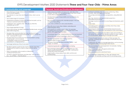# EYFS Development Matters 2020 Statements **Three and Four-Year-Olds - Prime Areas**

| <b>Communication and Language</b>                                                                                                                                                  | <b>Personal, Social and Emotional Development</b>                                                                                                                    | <b>Physical Development</b>                                                                                                                                                                     |
|------------------------------------------------------------------------------------------------------------------------------------------------------------------------------------|----------------------------------------------------------------------------------------------------------------------------------------------------------------------|-------------------------------------------------------------------------------------------------------------------------------------------------------------------------------------------------|
| Enjoy listening to longer stories and can remember<br>much of what happens.<br>• Pay attention to more than one thing at a time, which can be                                      | • Select and use activities and resources, with help when<br>needed. This helps them to achieve a goal they have chosen,<br>or one which is suggested to them.       | Continue to develop their movement, balancing, riding<br>(scooters, trikes and bikes) and ball skills.<br>Go up steps and stairs, or climb up apparatus, using alternate                        |
| difficult.<br>• Use a wider range of vocabulary.                                                                                                                                   | Develop their sense of responsibility and membership of a<br>community.                                                                                              | feet.<br>Skip, hop, stand on one leg and hold a pose for a                                                                                                                                      |
| • Understand a question or instruction that has two parts, such as<br>"Getyour coat and wait at the door".                                                                         | Become more outgoing with unfamiliar people, in the safe<br>context of their setting.                                                                                | game likemusical statues.<br>• Use large-muscle movements to wave flags and streamers, paint<br>and                                                                                             |
| • Understand 'why' questions, like: "Why do you think the<br>caterpillar got so fat?"                                                                                              | • Show more confidence in new social situations.<br>Play with one or more other children, extending and                                                              | make marks.<br>Start taking part in some group activities which they make                                                                                                                       |
| • Sing a large repertoire of songs.<br>• Know many rhymes, be able to talk about familiar books, and be<br>able totell a long story.                                               | elaboratingplay ideas.<br>Find solutions to conflicts and rivalries. For example,<br>accepting that not everyone can be Spider-Man in the                            | up forthemselves, or in teams.<br>Increasingly be able to use and remember sequences and<br>patterns of movements which are related to music and rhythm.                                        |
| Develop their communication but may continue to have<br>problems with irregular tenses and plurals, such as 'runned' for<br>'ran', 'swimmed' for 'swam'.                           | game, and suggesting other ideas.<br>• Increasingly follow rules, understanding why they are important.<br>• Remember rules without needing an adult to remind them. | • Match their developing physical skills to tasks and activities in<br>the setting. For example, they decide whether to crawl, walk or<br>run acrossa plank, depending on its length and width. |
| Develop their pronunciation but may have problems saying:<br>-some sounds: r, j, th, ch, and sh<br>- multisyllabic words such as 'pterodactyl',<br>'planetarium' or 'hippopotamus' | • Develop appropriate ways of being assertive.<br>• Talk with others to solve conflicts.                                                                             | Choose the right resources to carry out their own plan. For<br>example, choosing a spade to enlarge a small hole they dug<br>with a trowel.                                                     |
| • Use longer sentences of four to six words.                                                                                                                                       | • Talk about their feelings using words like 'happy', 'sad',<br>'angry' or 'worried'.                                                                                | Collaborate with others to manage large items, such as moving<br>a longplank safely, carrying large hollow blocks.                                                                              |
| Be able to express a point of view and to debate when they                                                                                                                         | • Understand gradually how others might be feeling.                                                                                                                  | Use one-handed tools and equipment, for example, making<br>snips inpaper with scissors.                                                                                                         |
| disagreewith an adult or a friend, using words as well as<br>actions.                                                                                                              | Be increasingly independent in meeting their own care<br>needs, e.g. brushing teeth, using the toilet, washing and                                                   | Use a comfortable grip with good control when<br>holding pensand pencils.                                                                                                                       |
| • Start a conversation with an adult or a friend and<br>continue it formany turns.                                                                                                 | drying their hands thoroughly.<br>• Make healthy choices about food, drink, activity and                                                                             | Show a preference for a dominant hand.                                                                                                                                                          |
| • Use talk to organise themselves and their play: "Let's go on a                                                                                                                   | toothbrushing.                                                                                                                                                       | Be increasingly independent as they get dressed and                                                                                                                                             |

• Use talk to organise themselves and their play: "Let's go on a bus... you sit there... I'll be the driver."

undressed, for example, putting coats on and doing up zips.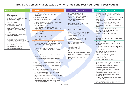# EYFS Development Matters 2020 Statements **Three and Four-Year-Olds - Specific Areas**

# **Literacy**

- Understand the five key concepts about print: - print has meaning - print can have different purposes -we read English text from left to right andfrom top to bottom - the names of the different parts of a book
- page sequencing
- Develop their phonological awareness, sothat they can: - spot and suggest rhymes - count or clap syllables in a word -recognise words with the same initialsound, such as money and mother
- Engage in extended conversations aboutstories, learning new vocabulary.
- Use some of their print and letter knowledgein their early writing. For example: writing a pretend shopping list that starts at the top ofthe page; writing 'm' for mummy.
- Write some or all of their name.
- Write some letters accurately.

#### **Mathematics**

- Develop fast recognition of up to 3 objects, withouthaving to count them individually ('subitising').
- Recite numbers past 5.
- Say one number for each item in order: 1,2,3,4,5.
- Know that the last number reached when counting a small set of objects tells you how many there are in total ('cardinal principle').
- Show 'finger numbers' up to 5.
- Link numerals and amounts: for example, showing theright number of objects to match the numeral, up to 5.
- Experiment with their own symbols and marks as wellas numerals.
- Solve real world mathematical problems withnumbers up to 5.
- Compare quantities using language: 'more than','fewer than'.
- Talk about and explore 2D and 3D shapes (for example,circles, rectangles, triangles and cuboids) using informaland mathematical language: 'sides', 'corners'; 'straight', 'flat', 'round'.
- Understand position through words alone for example, "The bag is under the table," – with no pointing.
- Describe a familiar route.
- Discuss routes and locations, using words like 'in frontof' and 'behind'.
- Make comparisons between objects relating to size,length, weight and capacity.
- Select shapes appropriately: flat surfaces for building, a triangular prism for a roof etc.
- Combine shapes to make new ones an arch, a biggertriangle etc.
- Talk about and identifies the patterns around them. For example: stripes on clothes, designs on rugs andwallpaper. Use informal language like 'pointy', 'spotty','blobs' etc.
- Extend and create ABAB patterns stick, leaf, stick, leaf.
- Notice and correct an error in a repeating pattern.
- Begin to describe a sequence of events, real or fictional,using words such as 'first', 'then...'

# Understanding the World

- Use all their senses in hands-on explorationof natural materials.
- Explore collections of materials with similarand/or different properties.
- Talk about what they see, using a widevocabulary.
- Begin to make sense of their own lifestoryand family's history.
- Show interest in different occupations.
- Explore how things work.
- Plant seeds and care for growing plants. • Understand the key features of the life cycleof a plant and an animal.
- Begin to understand the need to respect and care for the natural environment and allliving things.
- Explore and talk about different forcesthey can feel.
- Talk about the differences betweenmaterials and changes they notice.
- Continue developing positive attitudes aboutthe differences between people.
- Know that there are different countries in the world and talk about the differences theyhave experienced or seen in photos.

### Expressive Arts and Design

- Take part in simple pretend play, using an objectto represent something else even though they arenot similar.
- Begin to develop complex stories using small world equipment like animal sets, dolls and dolls houses etc.
- Make imaginative and complex 'small worlds' withblocks and construction kits, such as a city with different buildings and a park.
- Explore different materials freely, to develop theirideas about how to use them and what to make.
- Develop their own ideas and then decide whichmaterials to use to express them.
- Join different materials and explore different textures.
- Create closed shapes with continuous lines, and beginto use these shapes to represent objects.
- Draw with increasing complexity and detail, such as representing a face with a circle and including details.
- Use drawing to represent ideas like movement orloud noises.
- Show different emotions in their drawings andpaintings, like happiness, sadness, fear etc.
- Explore colour and colour-mixing.
- Listen with increased attention to sounds.
- Respond to what they have heard, expressing theirthoughts and feelings.
- Remember and sing entire songs.
- Sing the pitch of a tone sung by another person('pitch match').
- Sing the melodic shape (moving melody, such as upand down, down and up) of familiar songs.
- Create their own songs or improvise a song aroundone they know.
- Play instruments with increasing control to expresstheir feelings and ideas.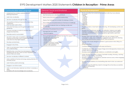# EYFS Development Matters 2020 Statements **Children in Reception - Prime Areas**

| Communication and Language |  |  |
|----------------------------|--|--|
|                            |  |  |

- Understand how to listen carefully and why listening isimportant.
- Learn new vocabulary.
- Use new vocabulary through the day.
- Ask questions to find out more and to check they understand what has been said to them.
- Articulate their ideas and thoughts in well-formed sentences.
- Connect one idea or action to another using a range ofconnectives.
- Describe events in some detail.
- Use talk to help work out problems and organise thinking and activities, and to explain how things work and why theymight happen.
- Develop social phrases.
- Engage in story times.
- Listen to and talk about stories to build familiarity and understanding.
- Retell the story, once they have developed a deep familiaritywith the text, some as exact repetition and some in their own words.
- Use new vocabulary in different contexts.
- Listen carefully to rhymes and songs, paying attention to howthey sound.
- Learn rhymes, poems and songs.
- Engage in non-fiction books.
- Listen to and talk about selected non-fiction to develop a deep familiarity with new knowledge and vocabulary.
- Personal, Social and Emotional **Development** • See themselves as a valuable individual. • Build constructive and respectful relationships. • Express their feelings and consider the feelings of others. • Show resilience and perseverance in the face of challenge. • Identify and moderate their own feelings socially and emotionally. • Think about the perspectives of others. • Manage their own needs. - Personal hygiene • Know and talk about the different factors that support their overallhealth and wellbeing: - regular physical activity - healthy eating - toothbrushing - sensible amounts of 'screen time' - having a good sleep routine - being a safe pedestrian

| <b>Physical Development</b>                                                                                                                                                                                                                             |  |  |  |
|---------------------------------------------------------------------------------------------------------------------------------------------------------------------------------------------------------------------------------------------------------|--|--|--|
| Revise and refine the fundamental movement skills they have already<br>acquired:<br>-rolling<br>- crawling<br>- walking<br>-jumping<br>-running<br>- hopping<br>- skipping<br>- climbing                                                                |  |  |  |
| Progress towards a more fluent style of moving, with developing control and<br>$\bullet$<br>grace.                                                                                                                                                      |  |  |  |
| Develop the overall body strength, co-ordination, balance and agility<br>$\bullet$<br>needed to engage successfully with future physical education sessions<br>and other physicaldisciplines including dance, gymnastics, sport and<br>swimming.        |  |  |  |
| Develop their small motor skills so that they can use a range of tools<br>$\bullet$<br>competently, safely and confidently. Suggested tools: pencils for drawing<br>and writing, paintbrushes, scissors, knives, forks and spoons.                      |  |  |  |
| · Use their core muscle strength to achieve a good posture when sitting at a<br>table or<br>sitting on the floor.                                                                                                                                       |  |  |  |
| Combine different movements with ease and fluency.<br>$\bullet$                                                                                                                                                                                         |  |  |  |
| • Confidently and safely use a range of large and small apparatus indoors and<br>outside, alone and in a group.<br>Develop overall body-strength, balance, co-ordination and agility.<br>$\bullet$                                                      |  |  |  |
| • Further develop and refine a range of ball skills including: throwing, catching,<br>kicking, passing, batting, and aiming.<br>Develop confidence, competence, precision and accuracy when engaging<br>$\bullet$<br>in activities that involve a ball. |  |  |  |
| • Develop the foundations of a handwriting style which is fast, accurate and<br>efficient.                                                                                                                                                              |  |  |  |
| • Further develop the skills they need to manage the school day successfully:<br>- lining up and queuing<br>- mealtimes                                                                                                                                 |  |  |  |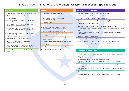# EYFS Development Matters 2020 Statements **Children in Reception - Specific Areas**

# **Literacy**

- Read individual letters by saying the sounds for them.
- Blend sounds into words, so that they can read short wordsmade up of known letter-sound correspondences.
- Read some letter groups that each represent one sound andsay sounds for them.
- Read a few common exception words matched to theschool's phonic programme.
- Read simple phrases and sentences made up of wordswith known letter–sound correspondences and, wherenecessary, a few exception words.
- Re-read these books to build up their confidence in word reading, their fluency and their understanding andenjoyment.
- Form lower-case and capital letters correctly.
- Spell words by identifying the sounds and then writing the sound with letter/s.
- Write short sentences with words with known lettersoundcorrespondences using a capital letter and full stop.
- Re-read what they have written to check that it makes sense.

# **Mathematics**

- Count objects, actions and sounds.
- Subitise.
- Link the number symbol (numeral) with its cardinalnumber value.
- Count beyond ten.
- Compare numbers.
- Understand the 'one more than/one less than' relationshipbetween consecutive numbers.
- Explore the composition of numbers to 10.
- Automatically recall number bonds for numbers 0- 5 andsome to 10.
- Select, rotate and manipulate shapes to develop spatialreasoning skills.
- Compose and decompose shapes so that children recognise a shape can have other shapes *within it*, just asnumbers can.
- Continue, copy and create repeating patterns.
- Compare length, weight and capacity.

| <b>Understanding the World</b>                                                                          |
|---------------------------------------------------------------------------------------------------------|
| Talk about members of their immediate family and community.                                             |
| Name and describe people who are familiar to them.<br>٠                                                 |
| Comment on images of familiar situations in the past.                                                   |
| Compare and contrast characters from stories, including figures from the past.<br>$\bullet$             |
| Draw information from a simple map.<br>٠                                                                |
| Understand that some places are special to members of their community.<br>$\bullet$                     |
| Recognise that people have different beliefs and celebrate special times in different<br>٠<br>ways.     |
| Recognise some similarities and differences between life in this country and life in<br>othercountries. |
| Explore the natural world around them.<br>$\bullet$                                                     |
| Describe what they see, hear and feel whilst outside.<br>$\bullet$                                      |
| Recognise some environments that are different to the one in which they live.<br>٠                      |
| Understand the effect of changing seasons on the natural world around them.<br>٠                        |
|                                                                                                         |

# **Expressive Arts and Design**

- Explore, use and refine a variety of artistic effects to express their ideas and feelings.
- Return to and build on their previous learning, refining ideas and developing their ability to represent them.
- Create collaboratively, sharing ideas, resources and skills.
- Listen attentively, move to and talk about music, expressing their feelings and responses.
- Watch and talk about dance and performance art, expressing their feelings and responses.
- Sing in a group or on their own, increasingly matching the pitch and following the melody.
- Develop storylines in their pretend play.
- Explore and engage in music making and dance, performing solo or in groups.